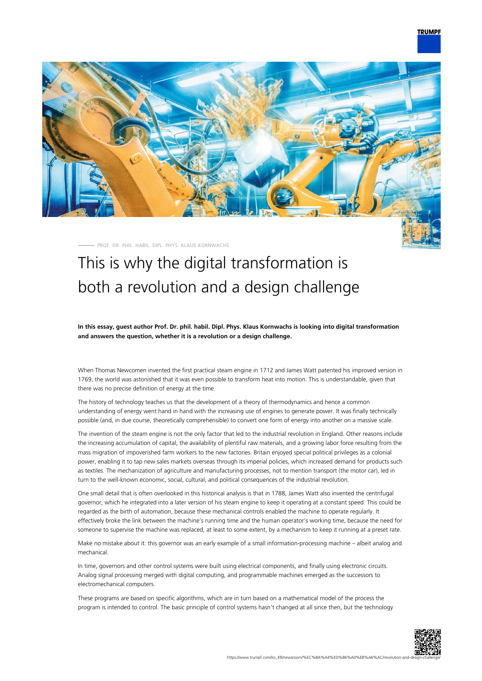## **TRUMPF**



PROF. DR. PHIL. HABIL. DIPL. PHYS. KLAUS KORNWACHS

# This is why the digital transformation is both a revolution and a design challenge

**In this essay, guest author Prof. Dr. phil. habil. Dipl. Phys. Klaus Kornwachs is looking into digital transformation and answers the question, whether it is a revolution or a design challenge.**

When Thomas Newcomen invented the first practical steam engine in 1712 and James Watt patented his improved version in 1769, the world was astonished that it was even possible to transform heat into motion. This is understandable, given that there was no precise definition of energy at the time.

The history of technology teaches us that the development of a theory of thermodynamics and hence a common understanding of energy went hand in hand with the increasing use of engines to generate power. It was finally technically possible (and, in due course, theoretically comprehensible) to convert one form of energy into another on a massive scale.

The invention of the steam engine is not the only factor that led to the industrial revolution in England. Other reasons include the increasing accumulation of capital, the availability of plentiful raw materials, and a growing labor force resulting from the mass migration of impoverished farm workers to the new factories. Britain enjoyed special political privileges as a colonial power, enabling it to tap new sales markets overseas through its imperial policies, which increased demand for products such as textiles. The mechanization of agriculture and manufacturing processes, not to mention transport (the motor car), led in turn to the well-known economic, social, cultural, and political consequences of the industrial revolution.

One small detail that is often overlooked in this historical analysis is that in 1788, James Watt also invented the centrifugal governor, which he integrated into a later version of his steam engine to keep it operating at a constant speed. This could be regarded as the birth of automation, because these mechanical controls enabled the machine to operate regularly. It effectively broke the link between the machine's running time and the human operator's working time, because the need for someone to supervise the machine was replaced, at least to some extent, by a mechanism to keep it running at a preset rate.

Make no mistake about it: this governor was an early example of a small information-processing machine – albeit analog and mechanical.

In time, governors and other control systems were built using electrical components, and finally using electronic circuits. Analog signal processing merged with digital computing, and programmable machines emerged as the successors to electromechanical computers.

These programs are based on specific algorithms, which are in turn based on a mathematical model of the process the program is intended to control. The basic principle of control systems hasn't changed at all since then, but the technology

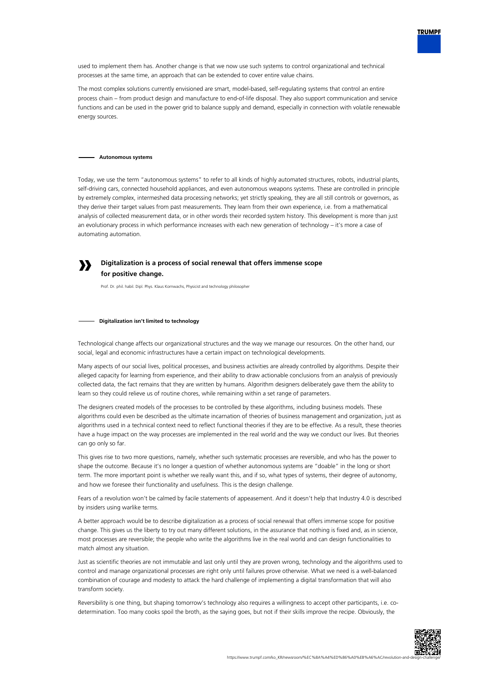

The most complex solutions currently envisioned are smart, model-based, self-regulating systems that control an entire process chain – from product design and manufacture to end-of-life disposal. They also support communication and service functions and can be used in the power grid to balance supply and demand, especially in connection with volatile renewable energy sources.

## **Autonomous systems**

**»**

Today, we use the term "autonomous systems" to refer to all kinds of highly automated structures, robots, industrial plants, self-driving cars, connected household appliances, and even autonomous weapons systems. These are controlled in principle by extremely complex, intermeshed data processing networks; yet strictly speaking, they are all still controls or governors, as they derive their target values from past measurements. They learn from their own experience, i.e. from a mathematical analysis of collected measurement data, or in other words their recorded system history. This development is more than just an evolutionary process in which performance increases with each new generation of technology – it's more a case of automating automation.

## **Digitalization is a process of social renewal that offers immense scope for positive change.**

Prof. Dr. phil. habil. Dipl. Phys. Klaus Kornwachs, Physicist and technology philosopher

#### **Digitalization isn't limited to technology**

Technological change affects our organizational structures and the way we manage our resources. On the other hand, our social, legal and economic infrastructures have a certain impact on technological developments.

Many aspects of our social lives, political processes, and business activities are already controlled by algorithms. Despite their alleged capacity for learning from experience, and their ability to draw actionable conclusions from an analysis of previously collected data, the fact remains that they are written by humans. Algorithm designers deliberately gave them the ability to learn so they could relieve us of routine chores, while remaining within a set range of parameters.

The designers created models of the processes to be controlled by these algorithms, including business models. These algorithms could even be described as the ultimate incarnation of theories of business management and organization, just as algorithms used in a technical context need to reflect functional theories if they are to be effective. As a result, these theories have a huge impact on the way processes are implemented in the real world and the way we conduct our lives. But theories can go only so far.

This gives rise to two more questions, namely, whether such systematic processes are reversible, and who has the power to shape the outcome. Because it's no longer a question of whether autonomous systems are "doable" in the long or short term. The more important point is whether we really want this, and if so, what types of systems, their degree of autonomy, and how we foresee their functionality and usefulness. This is the design challenge.

Fears of a revolution won't be calmed by facile statements of appeasement. And it doesn't help that Industry 4.0 is described by insiders using warlike terms.

A better approach would be to describe digitalization as a process of social renewal that offers immense scope for positive change. This gives us the liberty to try out many different solutions, in the assurance that nothing is fixed and, as in science, most processes are reversible; the people who write the algorithms live in the real world and can design functionalities to match almost any situation.

Just as scientific theories are not immutable and last only until they are proven wrong, technology and the algorithms used to control and manage organizational processes are right only until failures prove otherwise. What we need is a well-balanced combination of courage and modesty to attack the hard challenge of implementing a digital transformation that will also transform society.

Reversibility is one thing, but shaping tomorrow's technology also requires a willingness to accept other participants, i.e. codetermination. Too many cooks spoil the broth, as the saying goes, but not if their skills improve the recipe. Obviously, the



**TRUMPF**